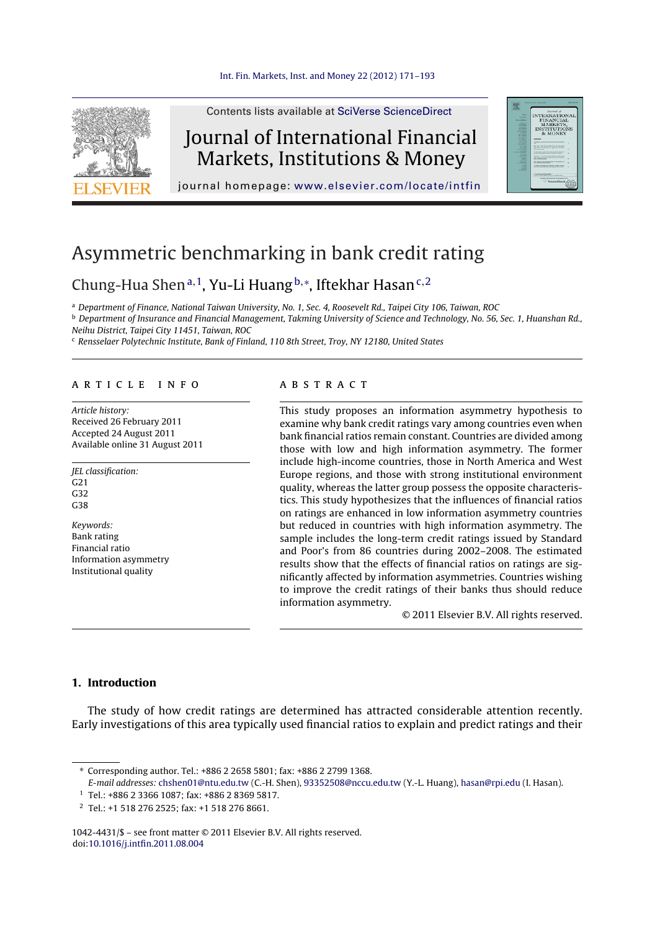

Contents lists available at SciVerse [ScienceDirect](http://www.sciencedirect.com/science/journal/10424431)

## Journal of International Financial Markets, Institutions & Money



journal homepage: [www.elsevier.com/locate/intfin](http://www.elsevier.com/locate/intfin)

# Asymmetric benchmarking in bank credit rating

### Chung-Hua Shenª<sup>, 1</sup>, Yu-Li Huang<sup>b,</sup>\*, Iftekhar Hasan<sup>c, 2</sup>

<sup>a</sup> Department of Finance, National Taiwan University, No. 1, Sec. 4, Roosevelt Rd., Taipei City 106, Taiwan, ROC

**b** Department of Insurance and Financial Management, Takming University of Science and Technology, No. 56, Sec. 1, Huanshan Rd., Neihu District, Taipei City 11451, Taiwan, ROC

<sup>c</sup> Rensselaer Polytechnic Institute, Bank of Finland, 110 8th Street, Troy, NY 12180, United States

#### a r t i c l e i n f o

Article history: Received 26 February 2011 Accepted 24 August 2011 Available online 31 August 2011

JEL classification:  $C<sub>21</sub>$ G32 G38

Keywords: Bank rating Financial ratio Information asymmetry Institutional quality

#### a b s t r a c t

This study proposes an information asymmetry hypothesis to examine why bank credit ratings vary among countries even when bank financial ratios remain constant. Countries are divided among those with low and high information asymmetry. The former include high-income countries, those in North America and West Europe regions, and those with strong institutional environment quality, whereas the latter group possess the opposite characteristics. This study hypothesizes that the influences of financial ratios on ratings are enhanced in low information asymmetry countries but reduced in countries with high information asymmetry. The sample includes the long-term credit ratings issued by Standard and Poor's from 86 countries during 2002–2008. The estimated results show that the effects of financial ratios on ratings are significantly affected by information asymmetries. Countries wishing to improve the credit ratings of their banks thus should reduce information asymmetry.

© 2011 Elsevier B.V. All rights reserved.

#### **1. Introduction**

The study of how credit ratings are determined has attracted considerable attention recently. Early investigations of this area typically used financial ratios to explain and predict ratings and their

1042-4431/\$ – see front matter © 2011 Elsevier B.V. All rights reserved. doi:[10.1016/j.intfin.2011.08.004](dx.doi.org/10.1016/j.intfin.2011.08.004)

<sup>∗</sup> Corresponding author. Tel.: +886 2 2658 5801; fax: +886 2 2799 1368.

E-mail addresses: [chshen01@ntu.edu.tw](mailto:chshen01@ntu.edu.tw) (C.-H. Shen), [93352508@nccu.edu.tw](mailto:93352508@nccu.edu.tw) (Y.-L. Huang), [hasan@rpi.edu](mailto:hasan@rpi.edu) (I. Hasan).

<sup>1</sup> Tel.: +886 2 3366 1087; fax: +886 2 8369 5817.

<sup>2</sup> Tel.: +1 518 276 2525; fax: +1 518 276 8661.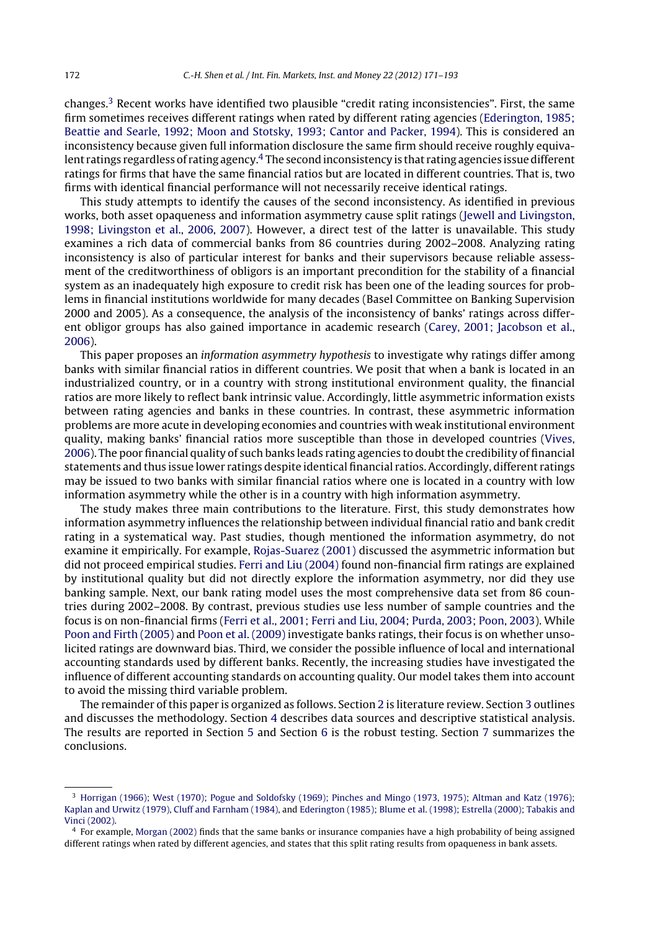changes.3 Recent works have identified two plausible "credit rating inconsistencies". First, the same firm sometimes receives different ratings when rated by different rating agencies [\(Ederington,](#page--1-0) [1985;](#page--1-0) [Beattie](#page--1-0) [and](#page--1-0) [Searle,](#page--1-0) [1992;](#page--1-0) [Moon](#page--1-0) [and](#page--1-0) [Stotsky,](#page--1-0) [1993;](#page--1-0) [Cantor](#page--1-0) [and](#page--1-0) [Packer,](#page--1-0) [1994\).](#page--1-0) This is considered an inconsistency because given full information disclosure the same firm should receive roughly equivalent ratings regardless of rating agency.<sup>4</sup> The second inconsistency is that rating agencies issue different ratings for firms that have the same financial ratios but are located in different countries. That is, two firms with identical financial performance will not necessarily receive identical ratings.

This study attempts to identify the causes of the second inconsistency. As identified in previous works, both asset opaqueness and information asymmetry cause split ratings ([Jewell](#page--1-0) [and](#page--1-0) [Livingston,](#page--1-0) [1998;](#page--1-0) [Livingston](#page--1-0) et [al.,](#page--1-0) [2006,](#page--1-0) [2007\).](#page--1-0) However, a direct test of the latter is unavailable. This study examines a rich data of commercial banks from 86 countries during 2002–2008. Analyzing rating inconsistency is also of particular interest for banks and their supervisors because reliable assessment of the creditworthiness of obligors is an important precondition for the stability of a financial system as an inadequately high exposure to credit risk has been one of the leading sources for problems in financial institutions worldwide for many decades (Basel Committee on Banking Supervision 2000 and 2005). As a consequence, the analysis of the inconsistency of banks' ratings across different obligor groups has also gained importance in academic research ([Carey,](#page--1-0) [2001;](#page--1-0) [Jacobson](#page--1-0) et [al.,](#page--1-0) [2006\).](#page--1-0)

This paper proposes an information asymmetry hypothesis to investigate why ratings differ among banks with similar financial ratios in different countries. We posit that when a bank is located in an industrialized country, or in a country with strong institutional environment quality, the financial ratios are more likely to reflect bank intrinsic value. Accordingly, little asymmetric information exists between rating agencies and banks in these countries. In contrast, these asymmetric information problems are more acute in developing economies and countries with weak institutional environment quality, making banks' financial ratios more susceptible than those in developed countries ([Vives,](#page--1-0) [2006\).](#page--1-0) The poor financial quality of such banks leads rating agencies to doubt the credibility of financial statements and thus issue lower ratings despite identical financial ratios. Accordingly, different ratings may be issued to two banks with similar financial ratios where one is located in a country with low information asymmetry while the other is in a country with high information asymmetry.

The study makes three main contributions to the literature. First, this study demonstrates how information asymmetry influences the relationship between individual financial ratio and bank credit rating in a systematical way. Past studies, though mentioned the information asymmetry, do not examine it empirically. For example, [Rojas-Suarez](#page--1-0) [\(2001\)](#page--1-0) discussed the asymmetric information but did not proceed empirical studies. [Ferri](#page--1-0) [and](#page--1-0) [Liu](#page--1-0) [\(2004\)](#page--1-0) found non-financial firm ratings are explained by institutional quality but did not directly explore the information asymmetry, nor did they use banking sample. Next, our bank rating model uses the most comprehensive data set from 86 countries during 2002–2008. By contrast, previous studies use less number of sample countries and the focus is on non-financial firms [\(Ferri](#page--1-0) [et](#page--1-0) [al.,](#page--1-0) [2001;](#page--1-0) [Ferri](#page--1-0) [and](#page--1-0) [Liu,](#page--1-0) [2004;](#page--1-0) [Purda,](#page--1-0) [2003;](#page--1-0) [Poon,](#page--1-0) [2003\).](#page--1-0) While [Poon](#page--1-0) [and](#page--1-0) [Firth](#page--1-0) [\(2005\)](#page--1-0) and [Poon](#page--1-0) et [al.](#page--1-0) [\(2009\)](#page--1-0) investigate banks ratings, their focus is on whether unsolicited ratings are downward bias. Third, we consider the possible influence of local and international accounting standards used by different banks. Recently, the increasing studies have investigated the influence of different accounting standards on accounting quality. Our model takes them into account to avoid the missing third variable problem.

The remainder ofthis paper is organized as follows. Section [2](#page--1-0) is literature review. Section [3](#page--1-0) outlines and discusses the methodology. Section [4](#page--1-0) describes data sources and descriptive statistical analysis. The results are reported in Section [5](#page--1-0) and Section [6](#page--1-0) is the robust testing. Section [7](#page--1-0) summarizes the conclusions.

<sup>3</sup> [Horrigan](#page--1-0) [\(1966\);](#page--1-0) [West](#page--1-0) [\(1970\);](#page--1-0) [Pogue](#page--1-0) [and](#page--1-0) [Soldofsky](#page--1-0) [\(1969\);](#page--1-0) [Pinches](#page--1-0) [and](#page--1-0) [Mingo](#page--1-0) [\(1973,](#page--1-0) [1975\);](#page--1-0) [Altman](#page--1-0) [and](#page--1-0) [Katz](#page--1-0) [\(1976\);](#page--1-0) [Kaplan](#page--1-0) [and](#page--1-0) [Urwitz](#page--1-0) [\(1979\),](#page--1-0) [Cluff](#page--1-0) [and](#page--1-0) [Farnham](#page--1-0) [\(1984\),](#page--1-0) and [Ederington](#page--1-0) [\(1985\);](#page--1-0) [Blume](#page--1-0) et [al.](#page--1-0) [\(1998\);](#page--1-0) [Estrella](#page--1-0) [\(2000\);](#page--1-0) [Tabakis](#page--1-0) [and](#page--1-0) [Vinci](#page--1-0) [\(2002\).](#page--1-0)

<sup>4</sup> For example, [Morgan](#page--1-0) [\(2002\)](#page--1-0) finds that the same banks or insurance companies have a high probability of being assigned different ratings when rated by different agencies, and states that this split rating results from opaqueness in bank assets.